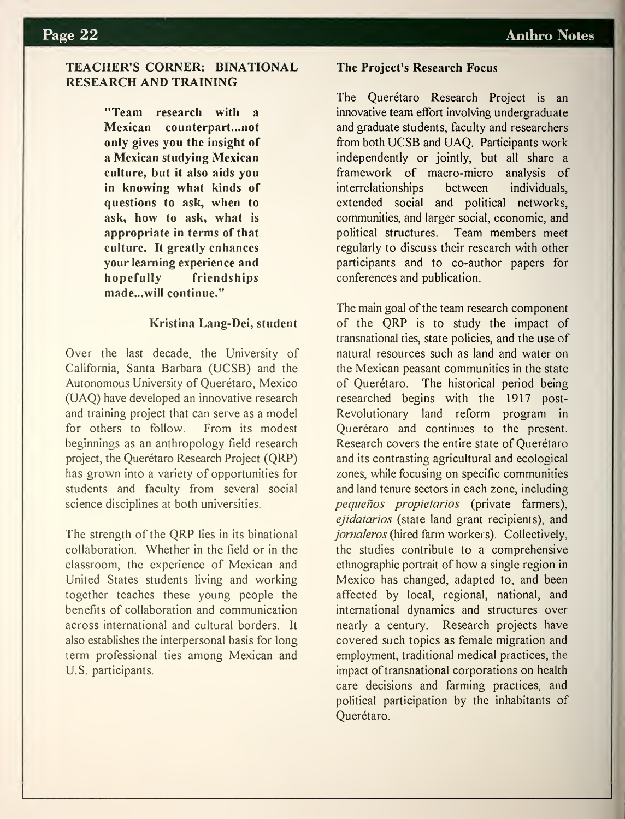# TEACHER'S CORNER: BINATIONAL RESEARCH AND TRAINING

"Team research with a Mexican counterpart...not only gives you the insight of a Mexican studying Mexican culture, but it also aids you in knowing what kinds of questions to ask, when to ask, how to ask, what is appropriate in terms of that culture. It greatly enhances your learning experience and hopefully friendships made. ..will continue."

### Kristina Lang-Dei, student

Over the last decade, the University of California, Santa Barbara (UCSB) and the Autonomous University of Querétaro, Mexico (UAQ) have developed an innovative research and training project that can serve as a model for others to follow. From its modest beginnings as an anthropology field research project, the Querétaro Research Project (QRP) has grown into a variety of opportunities for students and faculty from several social science disciplines at both universities.

The strength of the QRP lies in its binational collaboration. Whether in the field or in the classroom, the experience of Mexican and United States students living and working together teaches these young people the benefits of collaboration and communication across international and cultural borders. It also establishes the interpersonal basis for long term professional ties among Mexican and U.S. participants.

### The Project's Research Focus

The Querétaro Research Project is an innovative team effort involving undergraduate and graduate students, faculty and researchers from both UCSB and UAQ. Participants work independently or jointly, but all share a framework of macro-micro analysis of interrelationships between individuals, extended social and political networks, communities, and larger social, economic, and political structures. Team members meet regularly to discuss their research with other participants and to co-author papers for conferences and publication.

The main goal of the team research component of the QRP is to study the impact of transnational ties, state policies, and the use of natural resources such as land and water on the Mexican peasant communities in the state of Querétaro. The historical period being researched begins with the 1917 post-Revolutionary land reform program in Querétaro and continues to the present. Research covers the entire state of Querétaro and its contrasting agricultural and ecological zones, while focusing on specific communities and land tenure sectors in each zone, including pequeños propietarios (private farmers), ejidatarios (state land grant recipients), and jomaleros (hired farm workers). Collectively, the studies contribute to a comprehensive ethnographic portrait of how a single region in Mexico has changed, adapted to, and been affected by local, regional, national, and international dynamics and structures over nearly a century. Research projects have covered such topics as female migration and employment, traditional medical practices, the impact of transnational corporations on health care decisions and farming practices, and political participation by the inhabitants of Querétaro.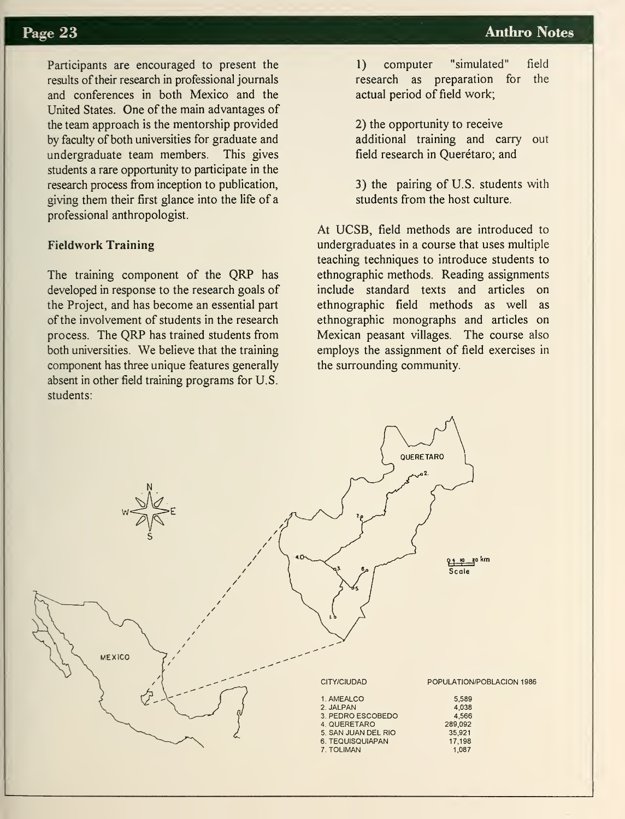Participants are encouraged to present the results of their research in professional journals and conferences in both Mexico and the United States. One of the main advantages of the team approach is the mentorship provided by faculty of both universities for graduate and undergraduate team members. This gives students a rare opportunity to participate in the research process from inception to publication, giving them their first glance into the life of a professional anthropologist.

## Fieldwork Training

The training component of the QRP has developed in response to the research goals of the Project, and has become an essential part of the involvement of students in the research process. The QRP has trained students from both universities. We believe that the training component has three unique features generally absent in other field training programs for U.S. students:

1) computer "simulated" field research as preparation for the actual period of field work;

2) the opportunity to receive additional training and carry field research in Querétaro; and out

3) the pairing of U.S. students with students from the host culture.

At UCSB, field methods are introduced to undergraduates in a course that uses multiple teaching techniques to introduce students to ethnographic methods. Reading assignments include standard texts and articles on ethnographic field methods as well as ethnographic monographs and articles on Mexican peasant villages. The course also employs the assignment of field exercises in the surrounding community.

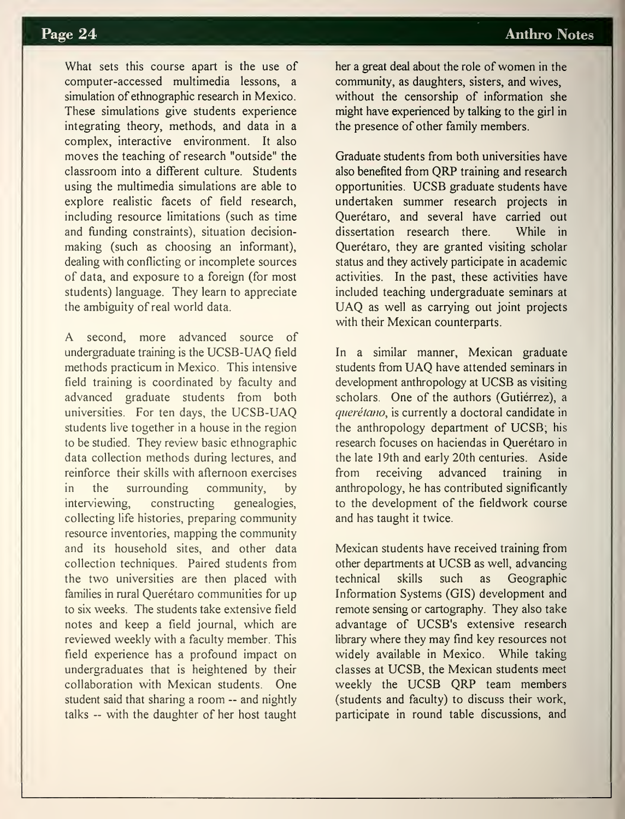What sets this course apart is the use of computer-accessed multimedia lessons, a simulation of ethnographic research in Mexico. These simulations give students experience integrating theory, methods, and data in a complex, interactive environment. It also moves the teaching of research "outside" the classroom into a different culture. Students using the multimedia simulations are able to explore realistic facets of field research, including resource limitations (such as time and funding constraints), situation decisionmaking (such as choosing an informant), dealing with conflicting or incomplete sources of data, and exposure to a foreign (for most students) language. They learn to appreciate the ambiguity of real world data.

A second, more advanced source of undergraduate training is the UCSB-UAQ field methods practicum in Mexico. This intensive field training is coordinated by faculty and advanced graduate students from both universities. For ten days, the UCSB-UAQ students live together in a house in the region to be studied. They review basic ethnographic data collection methods during lectures, and reinforce their skills with afternoon exercises in the surrounding community, by interviewing, constructing genealogies, collecting life histories, preparing community resource inventories, mapping the community and its household sites, and other data collection techniques. Paired students from the two universities are then placed with families in rural Querétaro communities for up to six weeks. The students take extensive field notes and keep a field journal, which are reviewed weekly with a faculty member. This field experience has a profound impact on undergraduates that is heightened by their collaboration with Mexican students. One student said that sharing <sup>a</sup> room — and nightly talks — with the daughter of her host taught

her a great deal about the role of women in the community, as daughters, sisters, and wives, without the censorship of information she might have experienced by talking to the girl in the presence of other family members.

Graduate students from both universities have also benefited from QRP training and research opportunities. UCSB graduate students have undertaken summer research projects in Querétaro, and several have carried out dissertation research there. While in Querétaro, they are granted visiting scholar status and they actively participate in academic activities. In the past, these activities have included teaching undergraduate seminars at UAQ as well as carrying out joint projects with their Mexican counterparts.

In a similar manner, Mexican graduate students from UAQ have attended seminars in development anthropology at UCSB as visiting scholars. One of the authors (Gutiérrez), a querétano, is currently a doctoral candidate in the anthropology department of UCSB; his research focuses on haciendas in Querétaro in the late 19th and early 20th centuries. Aside from receiving advanced training anthropology, he has contributed significantly to the development of the fieldwork course and has taught it twice.

Mexican students have received training from other departments at UCSB as well, advancing technical skills such as Geographic Information Systems (GIS) development and remote sensing or cartography. They also take advantage of UCSB's extensive research library where they may find key resources not widely available in Mexico. While taking classes at UCSB, the Mexican students meet weekly the UCSB QRP team members (students and faculty) to discuss their work, participate in round table discussions, and